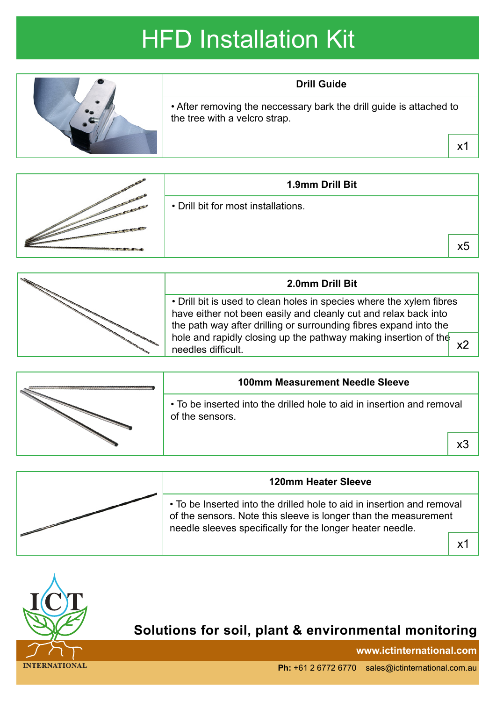## HFD Installation Kit



|  | 1.9mm Drill Bit                     |    |
|--|-------------------------------------|----|
|  | • Drill bit for most installations. |    |
|  |                                     | х5 |

| 2.0mm Drill Bit                                                                                                                                                                                                                                                                                       |  |
|-------------------------------------------------------------------------------------------------------------------------------------------------------------------------------------------------------------------------------------------------------------------------------------------------------|--|
| • Drill bit is used to clean holes in species where the xylem fibres<br>have either not been easily and cleanly cut and relax back into<br>the path way after drilling or surrounding fibres expand into the<br>hole and rapidly closing up the pathway making insertion of the<br>needles difficult. |  |

|  | <b>100mm Measurement Needle Sleeve</b>                                                    |   |
|--|-------------------------------------------------------------------------------------------|---|
|  | • To be inserted into the drilled hole to aid in insertion and removal<br>of the sensors. |   |
|  |                                                                                           | x |
|  |                                                                                           |   |

| <b>120mm Heater Sleeve</b>                                                                                                                                                                             |  |
|--------------------------------------------------------------------------------------------------------------------------------------------------------------------------------------------------------|--|
| • To be Inserted into the drilled hole to aid in insertion and removal<br>of the sensors. Note this sleeve is longer than the measurement<br>needle sleeves specifically for the longer heater needle. |  |
|                                                                                                                                                                                                        |  |



## **Solutions for soil, plant & environmental monitoring**

**www.ictinternational.com**